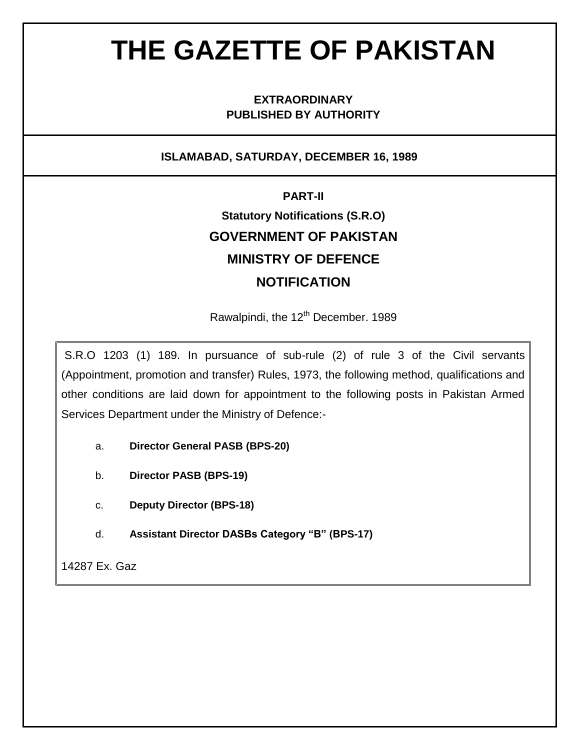# **THE GAZETTE OF PAKISTAN**

#### **EXTRAORDINARY PUBLISHED BY AUTHORITY**

#### **ISLAMABAD, SATURDAY, DECEMBER 16, 1989**

# **PART-II Statutory Notifications (S.R.O) GOVERNMENT OF PAKISTAN MINISTRY OF DEFENCE NOTIFICATION**

Rawalpindi, the 12<sup>th</sup> December. 1989

S.R.O 1203 (1) 189. In pursuance of sub-rule (2) of rule 3 of the Civil servants (Appointment, promotion and transfer) Rules, 1973, the following method, qualifications and other conditions are laid down for appointment to the following posts in Pakistan Armed Services Department under the Ministry of Defence:-

- a. **Director General PASB (BPS-20)**
- b. **Director PASB (BPS-19)**
- c. **Deputy Director (BPS-18)**
- d. **Assistant Director DASBs Category "B" (BPS-17)**

14287 Ex. Gaz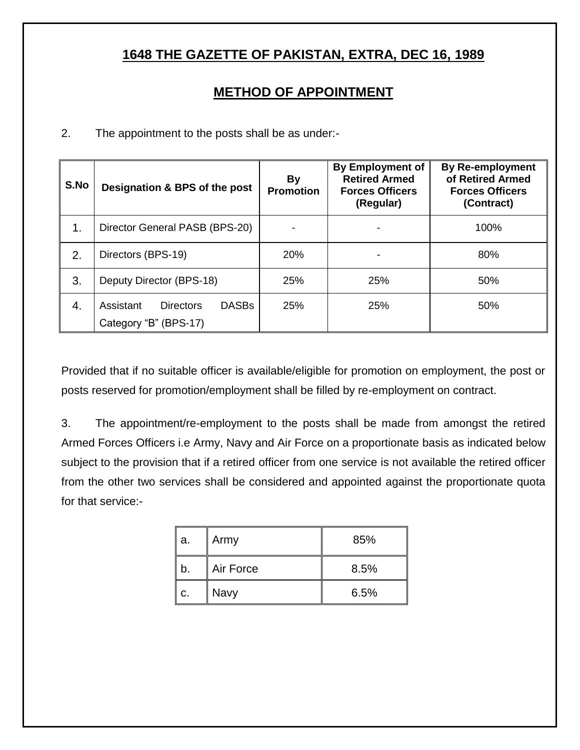# **1648 THE GAZETTE OF PAKISTAN, EXTRA, DEC 16, 1989**

## **METHOD OF APPOINTMENT**

2. The appointment to the posts shall be as under:-

| S.No | Designation & BPS of the post                                          | By<br><b>Promotion</b> | <b>By Employment of</b><br><b>Retired Armed</b><br><b>Forces Officers</b><br>(Regular) | <b>By Re-employment</b><br>of Retired Armed<br><b>Forces Officers</b><br>(Contract) |
|------|------------------------------------------------------------------------|------------------------|----------------------------------------------------------------------------------------|-------------------------------------------------------------------------------------|
| 1.   | Director General PASB (BPS-20)                                         |                        |                                                                                        | 100%                                                                                |
| 2.   | Directors (BPS-19)                                                     | 20%                    |                                                                                        | 80%                                                                                 |
| 3.   | Deputy Director (BPS-18)                                               | 25%                    | 25%                                                                                    | 50%                                                                                 |
| 4.   | <b>DASBs</b><br>Assistant<br><b>Directors</b><br>Category "B" (BPS-17) | 25%                    | 25%                                                                                    | 50%                                                                                 |

Provided that if no suitable officer is available/eligible for promotion on employment, the post or posts reserved for promotion/employment shall be filled by re-employment on contract.

3. The appointment/re-employment to the posts shall be made from amongst the retired Armed Forces Officers i.e Army, Navy and Air Force on a proportionate basis as indicated below subject to the provision that if a retired officer from one service is not available the retired officer from the other two services shall be considered and appointed against the proportionate quota for that service:-

| a. | Army      | 85%  |
|----|-----------|------|
| b. | Air Force | 8.5% |
| c. | Navy      | 6.5% |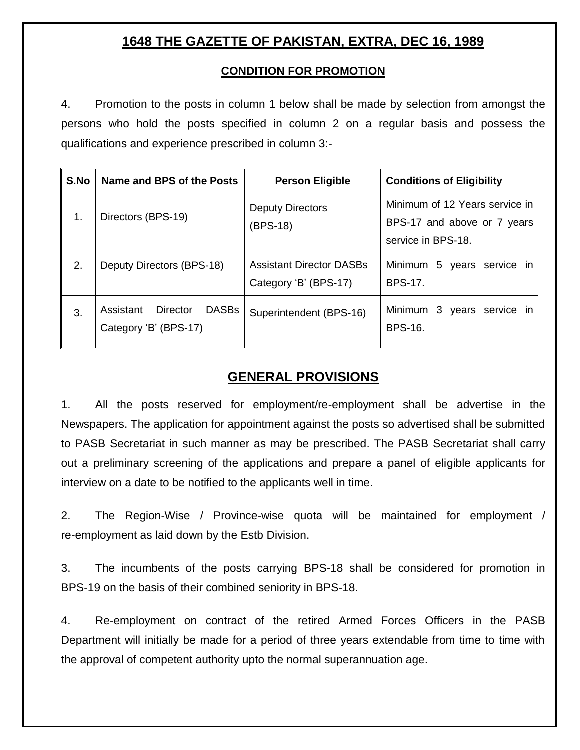## **1648 THE GAZETTE OF PAKISTAN, EXTRA, DEC 16, 1989**

#### **CONDITION FOR PROMOTION**

4. Promotion to the posts in column 1 below shall be made by selection from amongst the persons who hold the posts specified in column 2 on a regular basis and possess the qualifications and experience prescribed in column 3:-

| S.No | Name and BPS of the Posts                                      | <b>Person Eligible</b>                                   | <b>Conditions of Eligibility</b>                                                    |
|------|----------------------------------------------------------------|----------------------------------------------------------|-------------------------------------------------------------------------------------|
| 1.   | Directors (BPS-19)                                             | <b>Deputy Directors</b><br>(BPS-18)                      | Minimum of 12 Years service in<br>BPS-17 and above or 7 years<br>service in BPS-18. |
| 2.   | Deputy Directors (BPS-18)                                      | <b>Assistant Director DASBs</b><br>Category 'B' (BPS-17) | Minimum 5 years service in<br><b>BPS-17.</b>                                        |
| 3.   | <b>DASBs</b><br>Director<br>Assistant<br>Category 'B' (BPS-17) | Superintendent (BPS-16)                                  | Minimum 3 years service in<br><b>BPS-16.</b>                                        |

#### **GENERAL PROVISIONS**

1. All the posts reserved for employment/re-employment shall be advertise in the Newspapers. The application for appointment against the posts so advertised shall be submitted to PASB Secretariat in such manner as may be prescribed. The PASB Secretariat shall carry out a preliminary screening of the applications and prepare a panel of eligible applicants for interview on a date to be notified to the applicants well in time.

2. The Region-Wise / Province-wise quota will be maintained for employment / re-employment as laid down by the Estb Division.

3. The incumbents of the posts carrying BPS-18 shall be considered for promotion in BPS-19 on the basis of their combined seniority in BPS-18.

4. Re-employment on contract of the retired Armed Forces Officers in the PASB Department will initially be made for a period of three years extendable from time to time with the approval of competent authority upto the normal superannuation age.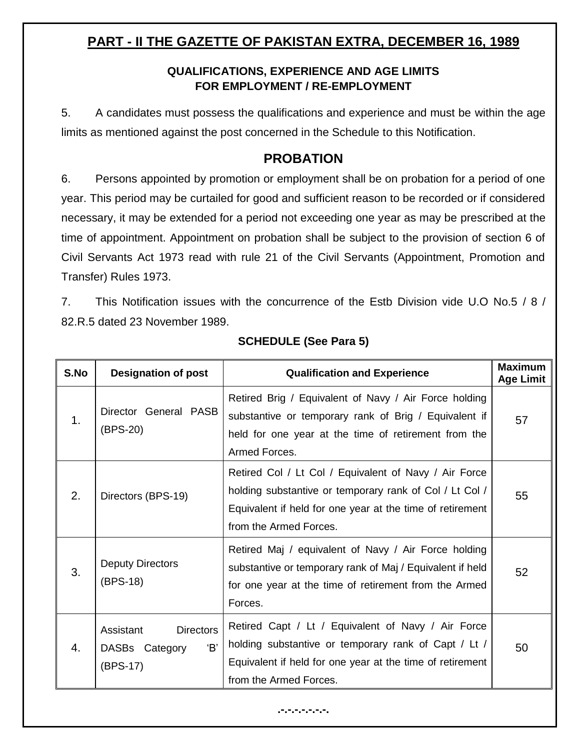## **PART - II THE GAZETTE OF PAKISTAN EXTRA, DECEMBER 16, 1989**

#### **QUALIFICATIONS, EXPERIENCE AND AGE LIMITS FOR EMPLOYMENT / RE-EMPLOYMENT**

5. A candidates must possess the qualifications and experience and must be within the age limits as mentioned against the post concerned in the Schedule to this Notification.

#### **PROBATION**

6. Persons appointed by promotion or employment shall be on probation for a period of one year. This period may be curtailed for good and sufficient reason to be recorded or if considered necessary, it may be extended for a period not exceeding one year as may be prescribed at the time of appointment. Appointment on probation shall be subject to the provision of section 6 of Civil Servants Act 1973 read with rule 21 of the Civil Servants (Appointment, Promotion and Transfer) Rules 1973.

7. This Notification issues with the concurrence of the Estb Division vide U.O No.5 / 8 / 82.R.5 dated 23 November 1989.

| S.No | <b>Designation of post</b>                                        | <b>Qualification and Experience</b>                                                                                                                                                                     | <b>Maximum</b><br><b>Age Limit</b> |
|------|-------------------------------------------------------------------|---------------------------------------------------------------------------------------------------------------------------------------------------------------------------------------------------------|------------------------------------|
| 1.   | Director General PASB<br>(BPS-20)                                 | Retired Brig / Equivalent of Navy / Air Force holding<br>substantive or temporary rank of Brig / Equivalent if<br>held for one year at the time of retirement from the<br>Armed Forces.                 | 57                                 |
| 2.   | Directors (BPS-19)                                                | Retired Col / Lt Col / Equivalent of Navy / Air Force<br>holding substantive or temporary rank of Col / Lt Col /<br>Equivalent if held for one year at the time of retirement<br>from the Armed Forces. | 55                                 |
| 3.   | <b>Deputy Directors</b><br>(BPS-18)                               | Retired Maj / equivalent of Navy / Air Force holding<br>substantive or temporary rank of Maj / Equivalent if held<br>for one year at the time of retirement from the Armed<br>Forces.                   | 52                                 |
| 4.   | Assistant<br><b>Directors</b><br>B'<br>DASBs Category<br>(BPS-17) | Retired Capt / Lt / Equivalent of Navy / Air Force<br>holding substantive or temporary rank of Capt / Lt /<br>Equivalent if held for one year at the time of retirement<br>from the Armed Forces.       | 50                                 |

#### **SCHEDULE (See Para 5)**